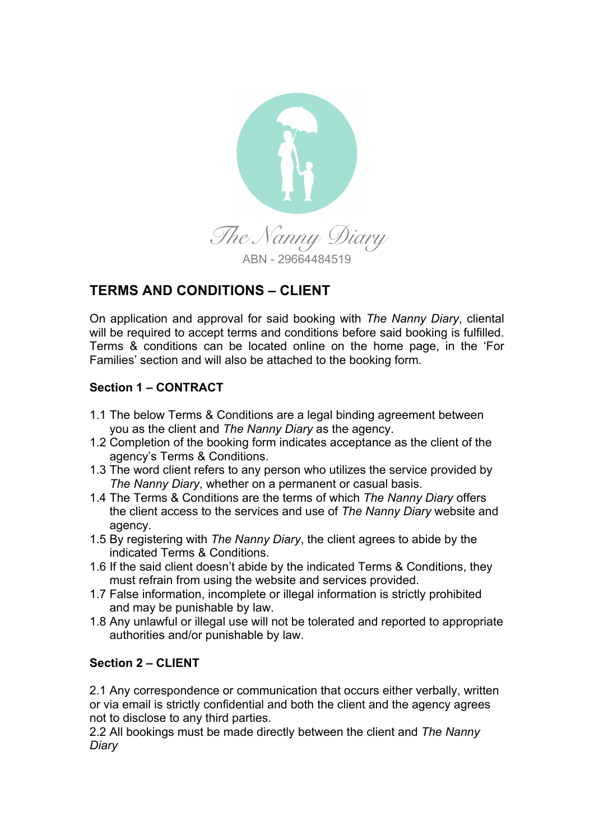

# **TERMS AND CONDITIONS – CLIENT**

On application and approval for said booking with *The Nanny Diary*, cliental will be required to accept terms and conditions before said booking is fulfilled. Terms & conditions can be located online on the home page, in the 'For Families' section and will also be attached to the booking form.

# **Section 1 – CONTRACT**

- 1.1 The below Terms & Conditions are a legal binding agreement between you as the client and *The Nanny Diary* as the agency.
- 1.2 Completion of the booking form indicates acceptance as the client of the agency's Terms & Conditions.
- 1.3 The word client refers to any person who utilizes the service provided by *The Nanny Diary*, whether on a permanent or casual basis.
- 1.4 The Terms & Conditions are the terms of which *The Nanny Diary* offers the client access to the services and use of *The Nanny Diary* website and agency.
- 1.5 By registering with *The Nanny Diary*, the client agrees to abide by the indicated Terms & Conditions.
- 1.6 If the said client doesn't abide by the indicated Terms & Conditions, they must refrain from using the website and services provided.
- 1.7 False information, incomplete or illegal information is strictly prohibited and may be punishable by law.
- 1.8 Any unlawful or illegal use will not be tolerated and reported to appropriate authorities and/or punishable by law.

# **Section 2 – CLIENT**

2.1 Any correspondence or communication that occurs either verbally, written or via email is strictly confidential and both the client and the agency agrees not to disclose to any third parties.

2.2 All bookings must be made directly between the client and *The Nanny Diary*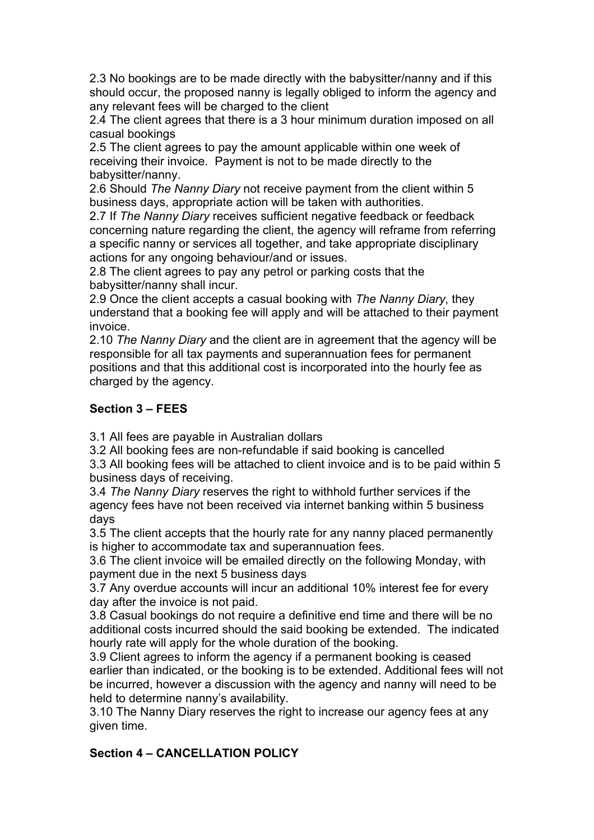2.3 No bookings are to be made directly with the babysitter/nanny and if this should occur, the proposed nanny is legally obliged to inform the agency and any relevant fees will be charged to the client

2.4 The client agrees that there is a 3 hour minimum duration imposed on all casual bookings

2.5 The client agrees to pay the amount applicable within one week of receiving their invoice. Payment is not to be made directly to the babysitter/nanny.

2.6 Should *The Nanny Diary* not receive payment from the client within 5 business days, appropriate action will be taken with authorities.

2.7 If *The Nanny Diary* receives sufficient negative feedback or feedback concerning nature regarding the client, the agency will reframe from referring a specific nanny or services all together, and take appropriate disciplinary actions for any ongoing behaviour/and or issues.

2.8 The client agrees to pay any petrol or parking costs that the babysitter/nanny shall incur.

2.9 Once the client accepts a casual booking with *The Nanny Diary*, they understand that a booking fee will apply and will be attached to their payment invoice.

2.10 *The Nanny Diary* and the client are in agreement that the agency will be responsible for all tax payments and superannuation fees for permanent positions and that this additional cost is incorporated into the hourly fee as charged by the agency.

# **Section 3 – FEES**

3.1 All fees are payable in Australian dollars

3.2 All booking fees are non-refundable if said booking is cancelled

3.3 All booking fees will be attached to client invoice and is to be paid within 5 business days of receiving.

3.4 *The Nanny Diary* reserves the right to withhold further services if the agency fees have not been received via internet banking within 5 business days

3.5 The client accepts that the hourly rate for any nanny placed permanently is higher to accommodate tax and superannuation fees.

3.6 The client invoice will be emailed directly on the following Monday, with payment due in the next 5 business days

3.7 Any overdue accounts will incur an additional 10% interest fee for every day after the invoice is not paid.

3.8 Casual bookings do not require a definitive end time and there will be no additional costs incurred should the said booking be extended. The indicated hourly rate will apply for the whole duration of the booking.

3.9 Client agrees to inform the agency if a permanent booking is ceased earlier than indicated, or the booking is to be extended. Additional fees will not be incurred, however a discussion with the agency and nanny will need to be held to determine nanny's availability.

3.10 The Nanny Diary reserves the right to increase our agency fees at any given time.

# **Section 4 – CANCELLATION POLICY**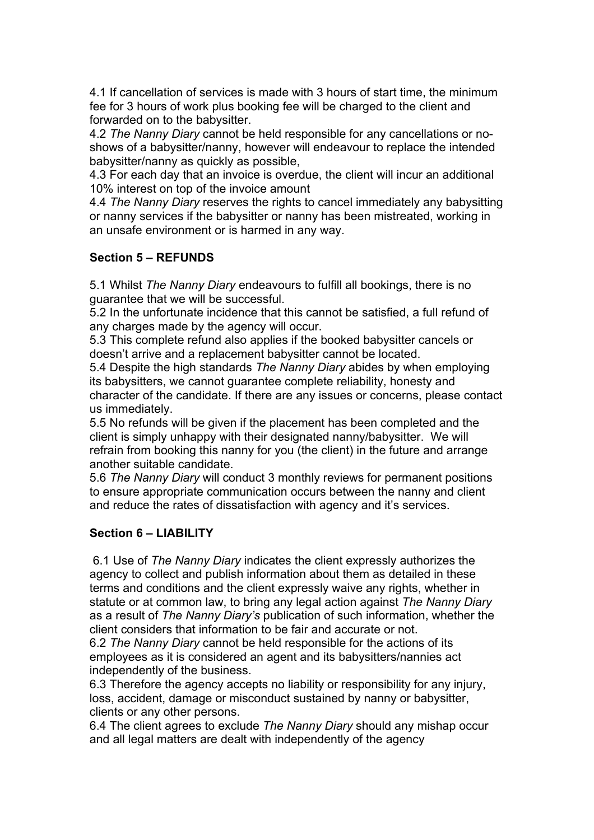4.1 If cancellation of services is made with 3 hours of start time, the minimum fee for 3 hours of work plus booking fee will be charged to the client and forwarded on to the babysitter.

4.2 *The Nanny Diary* cannot be held responsible for any cancellations or noshows of a babysitter/nanny, however will endeavour to replace the intended babysitter/nanny as quickly as possible,

4.3 For each day that an invoice is overdue, the client will incur an additional 10% interest on top of the invoice amount

4.4 *The Nanny Diary* reserves the rights to cancel immediately any babysitting or nanny services if the babysitter or nanny has been mistreated, working in an unsafe environment or is harmed in any way.

#### **Section 5 – REFUNDS**

5.1 Whilst *The Nanny Diary* endeavours to fulfill all bookings, there is no guarantee that we will be successful.

5.2 In the unfortunate incidence that this cannot be satisfied, a full refund of any charges made by the agency will occur.

5.3 This complete refund also applies if the booked babysitter cancels or doesn't arrive and a replacement babysitter cannot be located.

5.4 Despite the high standards *The Nanny Diary* abides by when employing its babysitters, we cannot guarantee complete reliability, honesty and character of the candidate. If there are any issues or concerns, please contact us immediately.

5.5 No refunds will be given if the placement has been completed and the client is simply unhappy with their designated nanny/babysitter. We will refrain from booking this nanny for you (the client) in the future and arrange another suitable candidate.

5.6 *The Nanny Diary* will conduct 3 monthly reviews for permanent positions to ensure appropriate communication occurs between the nanny and client and reduce the rates of dissatisfaction with agency and it's services.

#### **Section 6 – LIABILITY**

6.1 Use of *The Nanny Diary* indicates the client expressly authorizes the agency to collect and publish information about them as detailed in these terms and conditions and the client expressly waive any rights, whether in statute or at common law, to bring any legal action against *The Nanny Diary* as a result of *The Nanny Diary's* publication of such information, whether the client considers that information to be fair and accurate or not.

6.2 *The Nanny Diary* cannot be held responsible for the actions of its employees as it is considered an agent and its babysitters/nannies act independently of the business.

6.3 Therefore the agency accepts no liability or responsibility for any injury, loss, accident, damage or misconduct sustained by nanny or babysitter, clients or any other persons.

6.4 The client agrees to exclude *The Nanny Diary* should any mishap occur and all legal matters are dealt with independently of the agency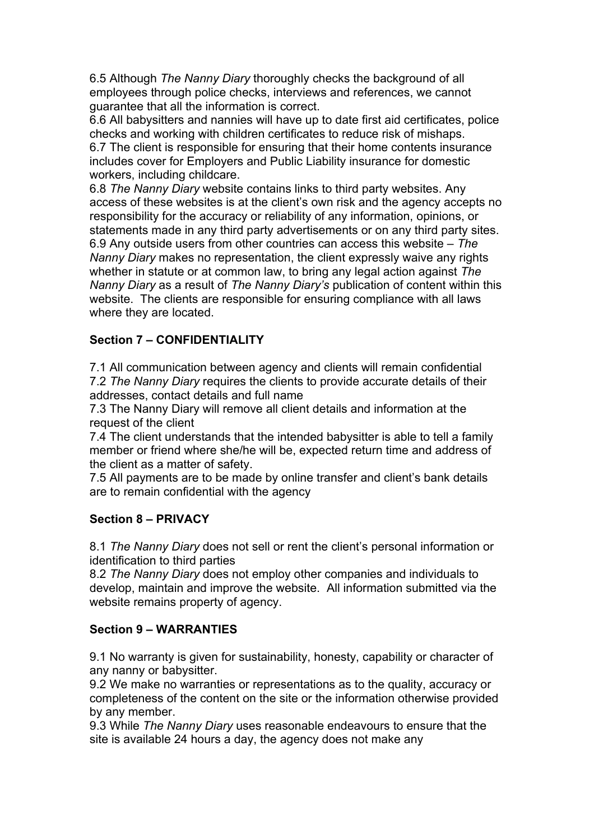6.5 Although *The Nanny Diary* thoroughly checks the background of all employees through police checks, interviews and references, we cannot guarantee that all the information is correct.

6.6 All babysitters and nannies will have up to date first aid certificates, police checks and working with children certificates to reduce risk of mishaps. 6.7 The client is responsible for ensuring that their home contents insurance includes cover for Employers and Public Liability insurance for domestic workers, including childcare.

6.8 *The Nanny Diary* website contains links to third party websites. Any access of these websites is at the client's own risk and the agency accepts no responsibility for the accuracy or reliability of any information, opinions, or statements made in any third party advertisements or on any third party sites. 6.9 Any outside users from other countries can access this website – *The Nanny Diary* makes no representation, the client expressly waive any rights whether in statute or at common law, to bring any legal action against *The Nanny Diary* as a result of *The Nanny Diary's* publication of content within this website. The clients are responsible for ensuring compliance with all laws where they are located.

# **Section 7 – CONFIDENTIALITY**

7.1 All communication between agency and clients will remain confidential 7.2 *The Nanny Diary* requires the clients to provide accurate details of their addresses, contact details and full name

7.3 The Nanny Diary will remove all client details and information at the request of the client

7.4 The client understands that the intended babysitter is able to tell a family member or friend where she/he will be, expected return time and address of the client as a matter of safety.

7.5 All payments are to be made by online transfer and client's bank details are to remain confidential with the agency

#### **Section 8 – PRIVACY**

8.1 *The Nanny Diary* does not sell or rent the client's personal information or identification to third parties

8.2 *The Nanny Diary* does not employ other companies and individuals to develop, maintain and improve the website. All information submitted via the website remains property of agency.

#### **Section 9 – WARRANTIES**

9.1 No warranty is given for sustainability, honesty, capability or character of any nanny or babysitter.

9.2 We make no warranties or representations as to the quality, accuracy or completeness of the content on the site or the information otherwise provided by any member.

9.3 While *The Nanny Diary* uses reasonable endeavours to ensure that the site is available 24 hours a day, the agency does not make any